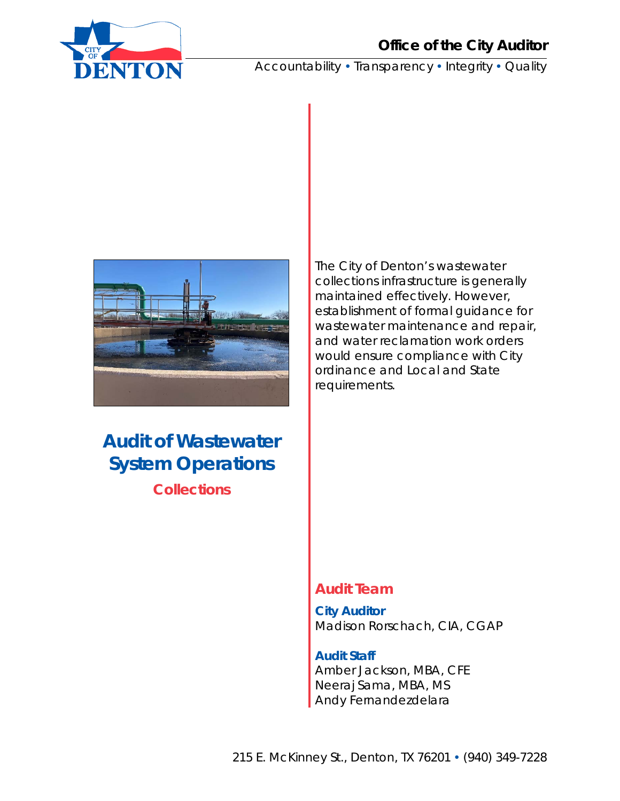

Accountability . Transparency . Integrity . Quality



## **Audit of Wastewater System Operations Collections**

The City of Denton's wastewater collections infrastructure is generally maintained effectively. However, establishment of formal guidance for wastewater maintenance and repair, and water reclamation work orders would ensure compliance with City ordinance and Local and State requirements.

## **Audit Team**

**City Auditor**  Madison Rorschach, CIA, CGAP

**Audit Staff**  Amber Jackson, MBA, CFE Neeraj Sama, MBA, MS Andy Fernandezdelara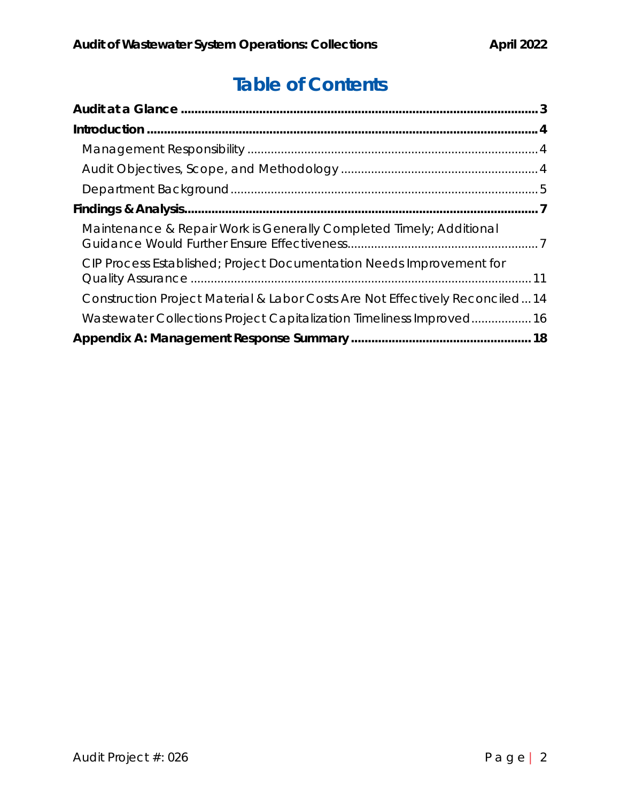# **Table of Contents**

| Maintenance & Repair Work is Generally Completed Timely; Additional          |  |
|------------------------------------------------------------------------------|--|
| CIP Process Established; Project Documentation Needs Improvement for         |  |
| Construction Project Material & Labor Costs Are Not Effectively Reconciled14 |  |
| Wastewater Collections Project Capitalization Timeliness Improved16          |  |
|                                                                              |  |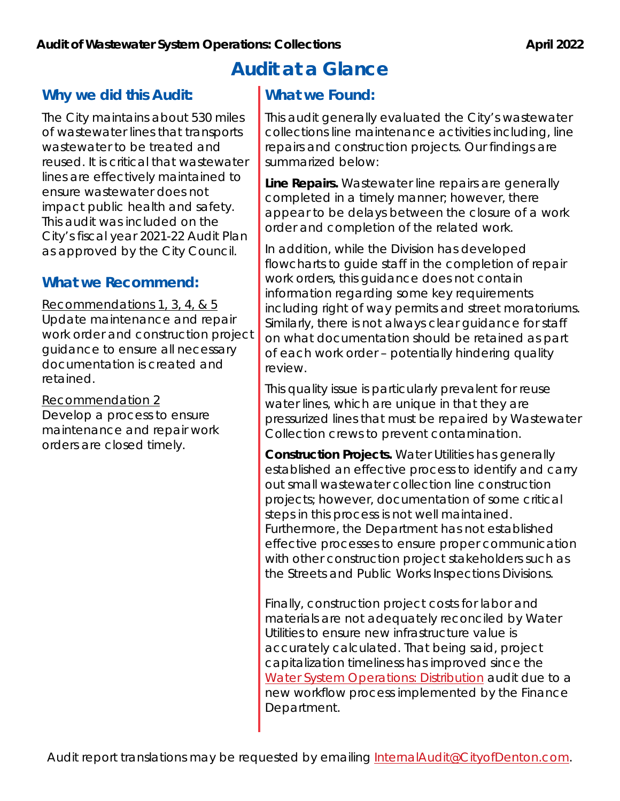## **Why we did this Audit:**

The City maintains about 530 miles of wastewater lines that transports wastewater to be treated and reused. It is critical that wastewater lines are effectively maintained to ensure wastewater does not impact public health and safety. This audit was included on the City's fiscal year 2021-22 Audit Plan as approved by the City Council.

## **What we Recommend:**

Recommendations 1, 3, 4, & 5 Update maintenance and repair work order and construction project guidance to ensure all necessary documentation is created and retained.

Recommendation 2 Develop a process to ensure

maintenance and repair work orders are closed timely.

# **Audit at a Glance**

## **What we Found:**

This audit generally evaluated the City's wastewater collections line maintenance activities including, line repairs and construction projects. Our findings are summarized below:

**Line Repairs.** Wastewater line repairs are generally completed in a timely manner; however, there appear to be delays between the closure of a work order and completion of the related work.

In addition, while the Division has developed flowcharts to guide staff in the completion of repair work orders, this guidance does not contain information regarding some key requirements including right of way permits and street moratoriums. Similarly, there is not always clear guidance for staff on what documentation should be retained as part of each work order – potentially hindering quality review.

This quality issue is particularly prevalent for reuse water lines, which are unique in that they are pressurized lines that must be repaired by Wastewater Collection crews to prevent contamination.

**Construction Projects.** Water Utilities has generally established an effective process to identify and carry out small wastewater collection line construction projects; however, documentation of some critical steps in this process is not well maintained. Furthermore, the Department has not established effective processes to ensure proper communication with other construction project stakeholders such as the Streets and Public Works Inspections Divisions.

Finally, construction project costs for labor and materials are not adequately reconciled by Water Utilities to ensure new infrastructure value is accurately calculated. That being said, project capitalization timeliness has improved since the Water System Operations: Distribution audit due to a new workflow process implemented by the Finance Department.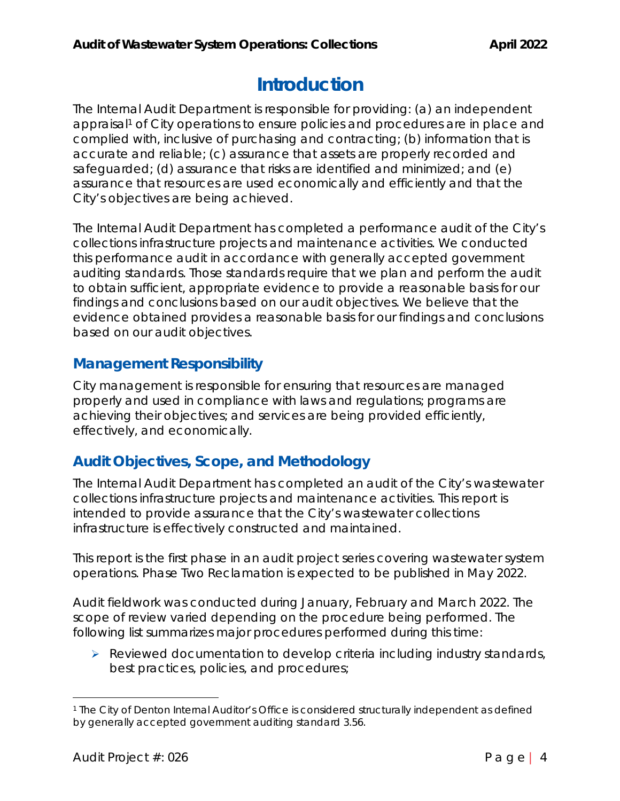# **Introduction**

The Internal Audit Department is responsible for providing: (a) an independent appraisal<sup>1</sup> of City operations to ensure policies and procedures are in place and complied with, inclusive of purchasing and contracting; (b) information that is accurate and reliable; (c) assurance that assets are properly recorded and safeguarded; (d) assurance that risks are identified and minimized; and (e) assurance that resources are used economically and efficiently and that the City's objectives are being achieved.

The Internal Audit Department has completed a performance audit of the City's collections infrastructure projects and maintenance activities. We conducted this performance audit in accordance with generally accepted government auditing standards. Those standards require that we plan and perform the audit to obtain sufficient, appropriate evidence to provide a reasonable basis for our findings and conclusions based on our audit objectives. We believe that the evidence obtained provides a reasonable basis for our findings and conclusions based on our audit objectives.

## **Management Responsibility**

City management is responsible for ensuring that resources are managed properly and used in compliance with laws and regulations; programs are achieving their objectives; and services are being provided efficiently, effectively, and economically.

## **Audit Objectives, Scope, and Methodology**

The Internal Audit Department has completed an audit of the City's wastewater collections infrastructure projects and maintenance activities. This report is intended to provide assurance that the City's wastewater collections infrastructure is effectively constructed and maintained.

This report is the first phase in an audit project series covering wastewater system operations. Phase Two Reclamation is expected to be published in May 2022.

Audit fieldwork was conducted during January, February and March 2022. The scope of review varied depending on the procedure being performed. The following list summarizes major procedures performed during this time:

 $\triangleright$  Reviewed documentation to develop criteria including industry standards, best practices, policies, and procedures;

<sup>1</sup> The City of Denton Internal Auditor's Office is considered structurally independent as defined by generally accepted government auditing standard 3.56.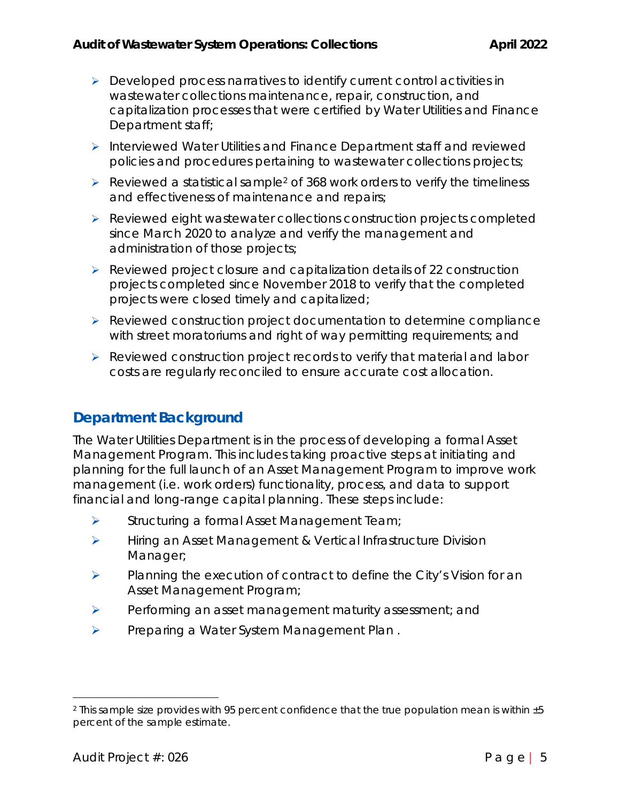- $\triangleright$  Developed process narratives to identify current control activities in wastewater collections maintenance, repair, construction, and capitalization processes that were certified by Water Utilities and Finance Department staff;
- $\triangleright$  Interviewed Water Utilities and Finance Department staff and reviewed policies and procedures pertaining to wastewater collections projects;
- $\triangleright$  Reviewed a statistical sample<sup>2</sup> of 368 work orders to verify the timeliness and effectiveness of maintenance and repairs;
- $\triangleright$  Reviewed eight wastewater collections construction projects completed since March 2020 to analyze and verify the management and administration of those projects;
- ▶ Reviewed project closure and capitalization details of 22 construction projects completed since November 2018 to verify that the completed projects were closed timely and capitalized;
- $\triangleright$  Reviewed construction project documentation to determine compliance with street moratoriums and right of way permitting requirements; and
- ▶ Reviewed construction project records to verify that material and labor costs are regularly reconciled to ensure accurate cost allocation.

## **Department Background**

The Water Utilities Department is in the process of developing a formal Asset Management Program. This includes taking proactive steps at initiating and planning for the full launch of an Asset Management Program to improve work management (i.e. work orders) functionality, process, and data to support financial and long-range capital planning. These steps include:

- $\triangleright$  Structuring a formal Asset Management Team;
- **EXECUTE:** Hiring an Asset Management & Vertical Infrastructure Division Manager;
- $\triangleright$  Planning the execution of contract to define the City's Vision for an Asset Management Program;
- $\triangleright$  Performing an asset management maturity assessment; and
- Preparing a Water System Management Plan.

<sup>2</sup> This sample size provides with 95 percent confidence that the true population mean is within ±5 percent of the sample estimate.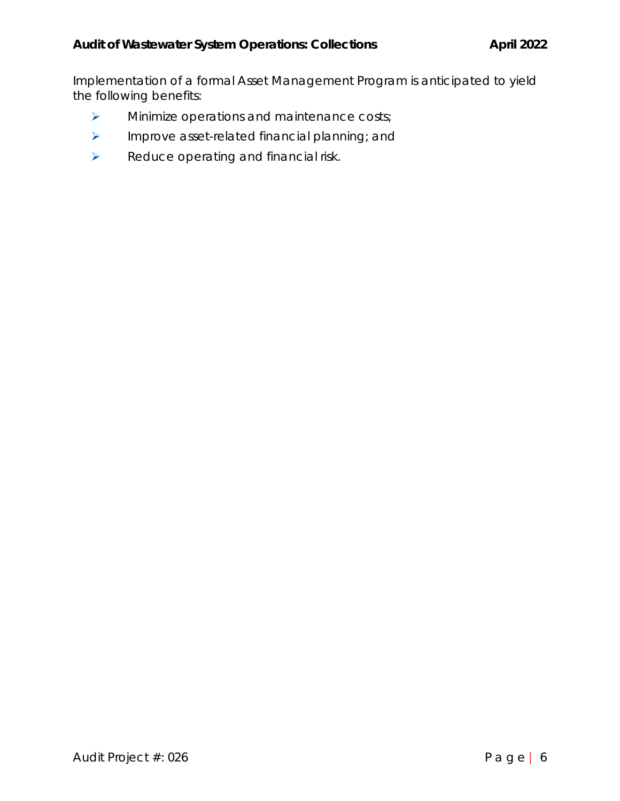Implementation of a formal Asset Management Program is anticipated to yield the following benefits:

- > Minimize operations and maintenance costs;
- $\triangleright$  Improve asset-related financial planning; and
- $\triangleright$  Reduce operating and financial risk.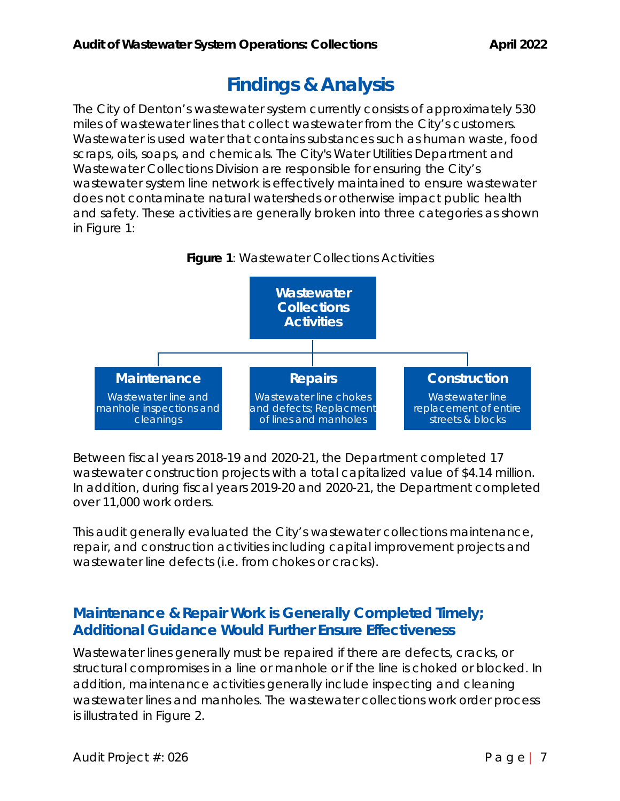# **Findings & Analysis**

The City of Denton's wastewater system currently consists of approximately 530 miles of wastewater lines that collect wastewater from the City's customers. Wastewater is used water that contains substances such as human waste, food scraps, oils, soaps, and chemicals. The City's Water Utilities Department and Wastewater Collections Division are responsible for ensuring the City's wastewater system line network is effectively maintained to ensure wastewater does not contaminate natural watersheds or otherwise impact public health and safety. These activities are generally broken into three categories as shown in Figure 1:





Between fiscal years 2018-19 and 2020-21, the Department completed 17 wastewater construction projects with a total capitalized value of \$4.14 million. In addition, during fiscal years 2019-20 and 2020-21, the Department completed over 11,000 work orders.

This audit generally evaluated the City's wastewater collections maintenance, repair, and construction activities including capital improvement projects and wastewater line defects (i.e. from chokes or cracks).

## **Maintenance & Repair Work is Generally Completed Timely; Additional Guidance Would Further Ensure Effectiveness**

Wastewater lines generally must be repaired if there are defects, cracks, or structural compromises in a line or manhole or if the line is choked or blocked. In addition, maintenance activities generally include inspecting and cleaning wastewater lines and manholes. The wastewater collections work order process is illustrated in Figure 2.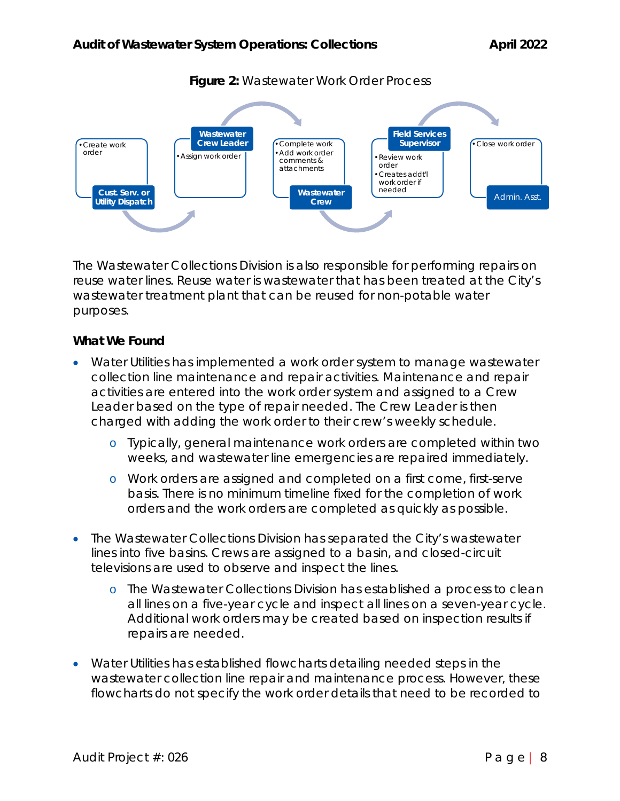

### **Figure 2:** Wastewater Work Order Process

The Wastewater Collections Division is also responsible for performing repairs on reuse water lines. Reuse water is wastewater that has been treated at the City's wastewater treatment plant that can be reused for non-potable water purposes.

### **What We Found**

- Water Utilities has implemented a work order system to manage wastewater collection line maintenance and repair activities. Maintenance and repair activities are entered into the work order system and assigned to a Crew Leader based on the type of repair needed. The Crew Leader is then charged with adding the work order to their crew's weekly schedule.
	- o Typically, general maintenance work orders are completed within two weeks, and wastewater line emergencies are repaired immediately.
	- o Work orders are assigned and completed on a first come, first-serve basis. There is no minimum timeline fixed for the completion of work orders and the work orders are completed as quickly as possible.
- The Wastewater Collections Division has separated the City's wastewater lines into five basins. Crews are assigned to a basin, and closed-circuit televisions are used to observe and inspect the lines.
	- o The Wastewater Collections Division has established a process to clean all lines on a five-year cycle and inspect all lines on a seven-year cycle. Additional work orders may be created based on inspection results if repairs are needed.
- Water Utilities has established flowcharts detailing needed steps in the wastewater collection line repair and maintenance process. However, these flowcharts do not specify the work order details that need to be recorded to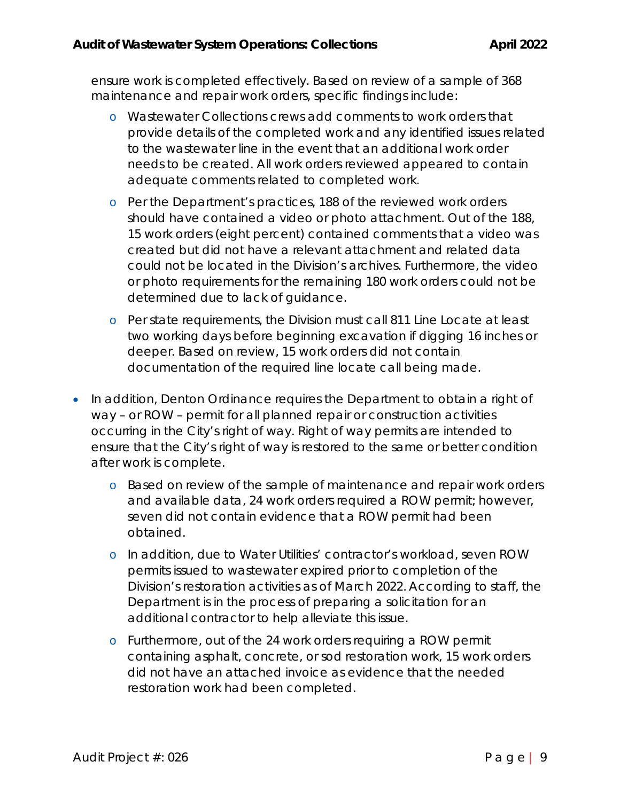ensure work is completed effectively. Based on review of a sample of 368 maintenance and repair work orders, specific findings include:

- o Wastewater Collections crews add comments to work orders that provide details of the completed work and any identified issues related to the wastewater line in the event that an additional work order needs to be created. All work orders reviewed appeared to contain adequate comments related to completed work.
- o Per the Department's practices, 188 of the reviewed work orders should have contained a video or photo attachment. Out of the 188, 15 work orders (eight percent) contained comments that a video was created but did not have a relevant attachment and related data could not be located in the Division's archives. Furthermore, the video or photo requirements for the remaining 180 work orders could not be determined due to lack of guidance.
- o Per state requirements, the Division must call 811 Line Locate at least two working days before beginning excavation if digging 16 inches or deeper. Based on review, 15 work orders did not contain documentation of the required line locate call being made.
- In addition, Denton Ordinance requires the Department to obtain a right of way – or ROW – permit for all planned repair or construction activities occurring in the City's right of way. Right of way permits are intended to ensure that the City's right of way is restored to the same or better condition after work is complete.
	- o Based on review of the sample of maintenance and repair work orders and available data, 24 work orders required a ROW permit; however, seven did not contain evidence that a ROW permit had been obtained.
	- o In addition, due to Water Utilities' contractor's workload, seven ROW permits issued to wastewater expired prior to completion of the Division's restoration activities as of March 2022. According to staff, the Department is in the process of preparing a solicitation for an additional contractor to help alleviate this issue.
	- o Furthermore, out of the 24 work orders requiring a ROW permit containing asphalt, concrete, or sod restoration work, 15 work orders did not have an attached invoice as evidence that the needed restoration work had been completed.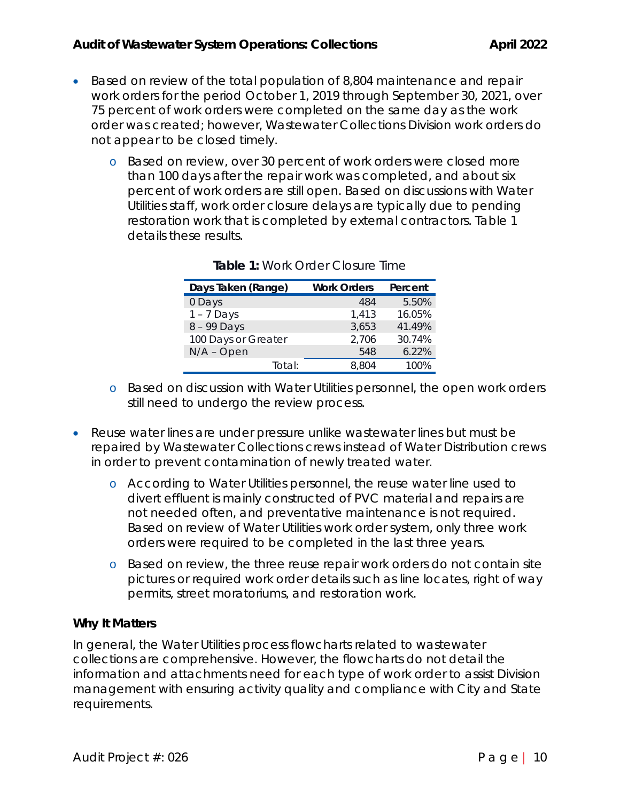- Based on review of the total population of 8,804 maintenance and repair work orders for the period October 1, 2019 through September 30, 2021, over 75 percent of work orders were completed on the same day as the work order was created; however, Wastewater Collections Division work orders do not appear to be closed timely.
	- o Based on review, over 30 percent of work orders were closed more than 100 days after the repair work was completed, and about six percent of work orders are still open. Based on discussions with Water Utilities staff, work order closure delays are typically due to pending restoration work that is completed by external contractors. Table 1 details these results.

| Days Taken (Range)  | <b>Work Orders</b> | Percent |
|---------------------|--------------------|---------|
| 0 Days              | 484                | 5.50%   |
| $1 - 7$ Days        | 1,413              | 16.05%  |
| 8 - 99 Days         | 3,653              | 41.49%  |
| 100 Days or Greater | 2,706              | 30.74%  |
| $N/A$ – Open        | 548                | 6.22%   |
| Total:              | 8.804              | 100%    |

**Table 1:** Work Order Closure Time

- o Based on discussion with Water Utilities personnel, the open work orders still need to undergo the review process.
- Reuse water lines are under pressure unlike wastewater lines but must be repaired by Wastewater Collections crews instead of Water Distribution crews in order to prevent contamination of newly treated water.
	- o According to Water Utilities personnel, the reuse water line used to divert effluent is mainly constructed of PVC material and repairs are not needed often, and preventative maintenance is not required. Based on review of Water Utilities work order system, only three work orders were required to be completed in the last three years.
	- o Based on review, the three reuse repair work orders do not contain site pictures or required work order details such as line locates, right of way permits, street moratoriums, and restoration work.

### **Why It Matters**

In general, the Water Utilities process flowcharts related to wastewater collections are comprehensive. However, the flowcharts do not detail the information and attachments need for each type of work order to assist Division management with ensuring activity quality and compliance with City and State requirements.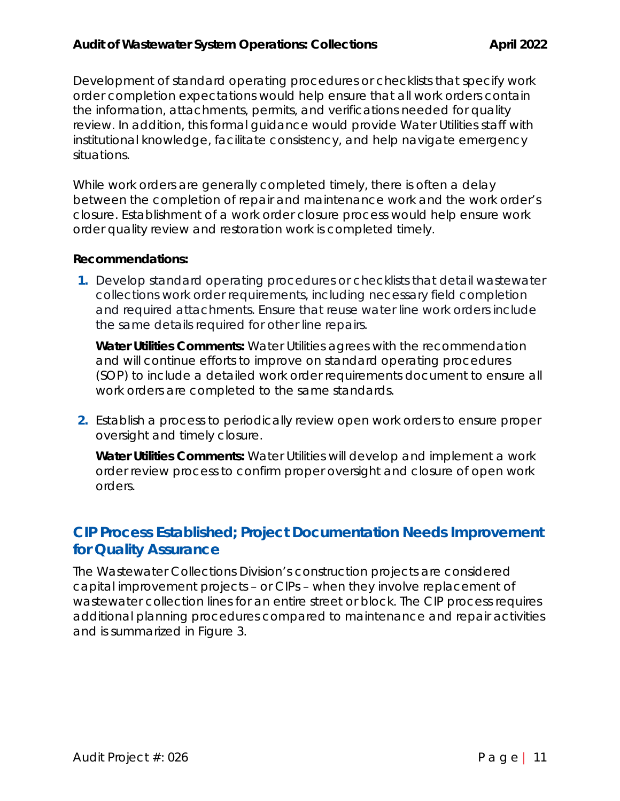Development of standard operating procedures or checklists that specify work order completion expectations would help ensure that all work orders contain the information, attachments, permits, and verifications needed for quality review. In addition, this formal guidance would provide Water Utilities staff with institutional knowledge, facilitate consistency, and help navigate emergency situations.

While work orders are generally completed timely, there is often a delay between the completion of repair and maintenance work and the work order's closure. Establishment of a work order closure process would help ensure work order quality review and restoration work is completed timely.

#### **Recommendations:**

**1.** Develop standard operating procedures or checklists that detail wastewater collections work order requirements, including necessary field completion and required attachments. Ensure that reuse water line work orders include the same details required for other line repairs.

*Water Utilities Comments: Water Utilities agrees with the recommendation and will continue efforts to improve on standard operating procedures (SOP) to include a detailed work order requirements document to ensure all work orders are completed to the same standards.*

**2.** Establish a process to periodically review open work orders to ensure proper oversight and timely closure.

*Water Utilities Comments: Water Utilities will develop and implement a work order review process to confirm proper oversight and closure of open work orders.*

## **CIP Process Established; Project Documentation Needs Improvement for Quality Assurance**

The Wastewater Collections Division's construction projects are considered capital improvement projects – or CIPs – when they involve replacement of wastewater collection lines for an entire street or block. The CIP process requires additional planning procedures compared to maintenance and repair activities and is summarized in Figure 3.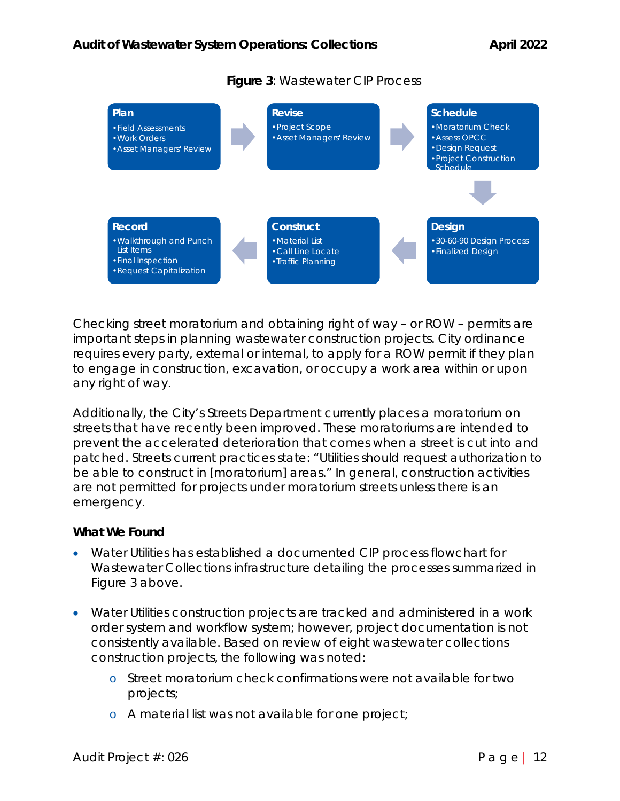

### **Figure 3**: Wastewater CIP Process

Checking street moratorium and obtaining right of way – or ROW – permits are important steps in planning wastewater construction projects. City ordinance requires every party, external or internal, to apply for a ROW permit if they plan to engage in construction, excavation, or occupy a work area within or upon any right of way.

Additionally, the City's Streets Department currently places a moratorium on streets that have recently been improved. These moratoriums are intended to prevent the accelerated deterioration that comes when a street is cut into and patched. Streets current practices state: "Utilities should request authorization to be able to construct in [moratorium] areas." In general, construction activities are not permitted for projects under moratorium streets unless there is an emergency.

#### **What We Found**

- Water Utilities has established a documented CIP process flowchart for Wastewater Collections infrastructure detailing the processes summarized in Figure 3 above.
- Water Utilities construction projects are tracked and administered in a work order system and workflow system; however, project documentation is not consistently available. Based on review of eight wastewater collections construction projects, the following was noted:
	- o Street moratorium check confirmations were not available for two projects;
	- o A material list was not available for one project;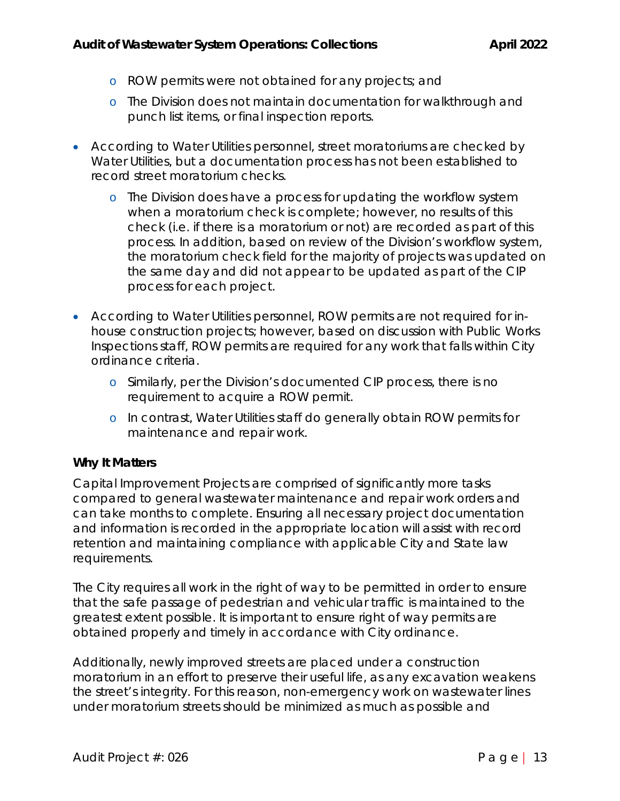- o ROW permits were not obtained for any projects; and
- o The Division does not maintain documentation for walkthrough and punch list items, or final inspection reports.
- According to Water Utilities personnel, street moratoriums are checked by Water Utilities, but a documentation process has not been established to record street moratorium checks.
	- o The Division does have a process for updating the workflow system when a moratorium check is complete; however, no results of this check (i.e. if there is a moratorium or not) are recorded as part of this process. In addition, based on review of the Division's workflow system, the moratorium check field for the majority of projects was updated on the same day and did not appear to be updated as part of the CIP process for each project.
- According to Water Utilities personnel, ROW permits are not required for inhouse construction projects; however, based on discussion with Public Works Inspections staff, ROW permits are required for any work that falls within City ordinance criteria.
	- o Similarly, per the Division's documented CIP process, there is no requirement to acquire a ROW permit.
	- o In contrast, Water Utilities staff do generally obtain ROW permits for maintenance and repair work.

### **Why It Matters**

Capital Improvement Projects are comprised of significantly more tasks compared to general wastewater maintenance and repair work orders and can take months to complete. Ensuring all necessary project documentation and information is recorded in the appropriate location will assist with record retention and maintaining compliance with applicable City and State law requirements.

The City requires all work in the right of way to be permitted in order to ensure that the safe passage of pedestrian and vehicular traffic is maintained to the greatest extent possible. It is important to ensure right of way permits are obtained properly and timely in accordance with City ordinance.

Additionally, newly improved streets are placed under a construction moratorium in an effort to preserve their useful life, as any excavation weakens the street's integrity. For this reason, non-emergency work on wastewater lines under moratorium streets should be minimized as much as possible and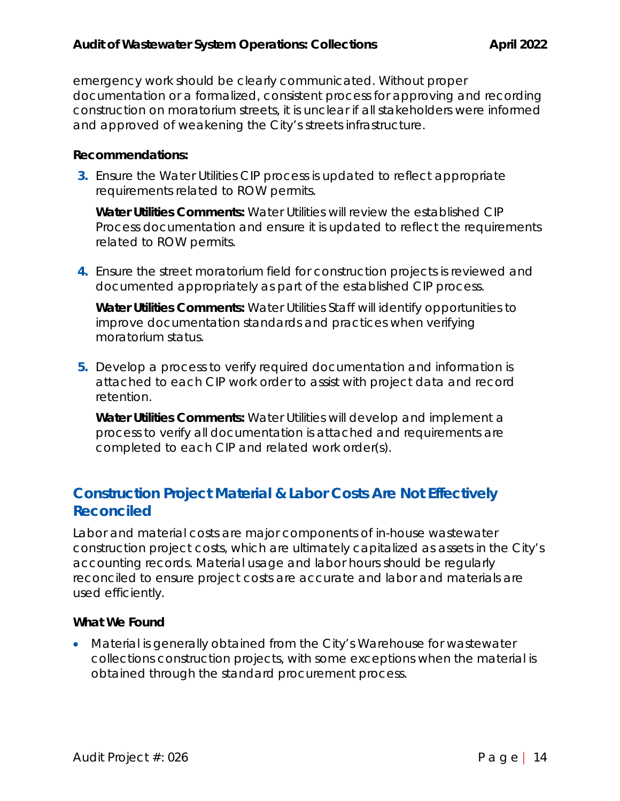emergency work should be clearly communicated. Without proper documentation or a formalized, consistent process for approving and recording construction on moratorium streets, it is unclear if all stakeholders were informed and approved of weakening the City's streets infrastructure.

#### **Recommendations:**

**3.** Ensure the Water Utilities CIP process is updated to reflect appropriate requirements related to ROW permits.

*Water Utilities Comments: Water Utilities will review the established CIP Process documentation and ensure it is updated to reflect the requirements related to ROW permits.*

**4.** Ensure the street moratorium field for construction projects is reviewed and documented appropriately as part of the established CIP process.

*Water Utilities Comments***:** Water Utilities Staff will identify opportunities to improve documentation standards and practices when verifying moratorium status.

**5.** Develop a process to verify required documentation and information is attached to each CIP work order to assist with project data and record retention.

*Water Utilities Comments: Water Utilities will develop and implement a process to verify all documentation is attached and requirements are completed to each CIP and related work order(s).*

## **Construction Project Material & Labor Costs Are Not Effectively Reconciled**

Labor and material costs are major components of in-house wastewater construction project costs, which are ultimately capitalized as assets in the City's accounting records. Material usage and labor hours should be regularly reconciled to ensure project costs are accurate and labor and materials are used efficiently.

### **What We Found**

 Material is generally obtained from the City's Warehouse for wastewater collections construction projects, with some exceptions when the material is obtained through the standard procurement process.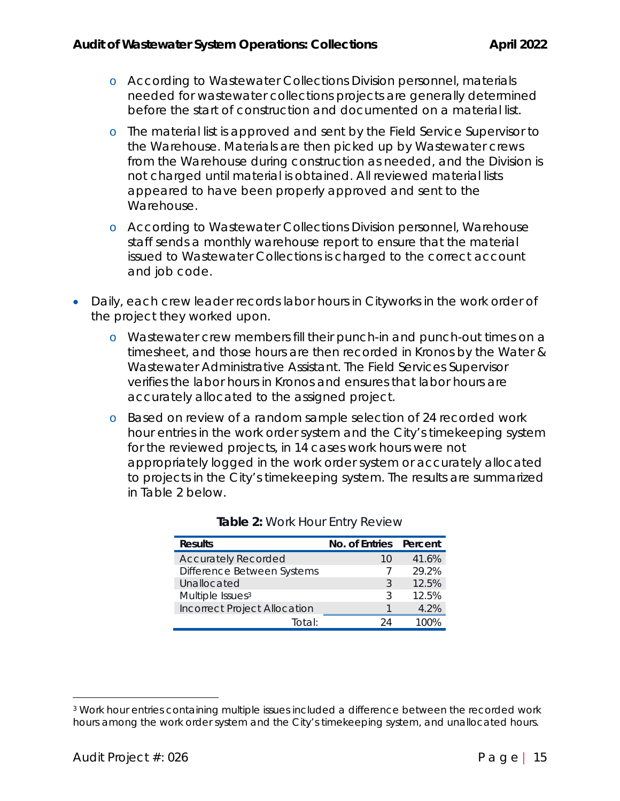- o According to Wastewater Collections Division personnel, materials needed for wastewater collections projects are generally determined before the start of construction and documented on a material list.
- o The material list is approved and sent by the Field Service Supervisor to the Warehouse. Materials are then picked up by Wastewater crews from the Warehouse during construction as needed, and the Division is not charged until material is obtained. All reviewed material lists appeared to have been properly approved and sent to the Warehouse.
- o According to Wastewater Collections Division personnel, Warehouse staff sends a monthly warehouse report to ensure that the material issued to Wastewater Collections is charged to the correct account and job code.
- Daily, each crew leader records labor hours in Cityworks in the work order of the project they worked upon.
	- o Wastewater crew members fill their punch-in and punch-out times on a timesheet, and those hours are then recorded in Kronos by the Water & Wastewater Administrative Assistant. The Field Services Supervisor verifies the labor hours in Kronos and ensures that labor hours are accurately allocated to the assigned project.
	- o Based on review of a random sample selection of 24 recorded work hour entries in the work order system and the City's timekeeping system for the reviewed projects, in 14 cases work hours were not appropriately logged in the work order system or accurately allocated to projects in the City's timekeeping system. The results are summarized in Table 2 below.

| <b>Results</b>                      | No. of Entries Percent |       |
|-------------------------------------|------------------------|-------|
| <b>Accurately Recorded</b>          | 10                     | 41.6% |
| Difference Between Systems          |                        | 29.2% |
| Unallocated                         | २                      | 12.5% |
| Multiple Issues <sup>3</sup>        | २                      | 12.5% |
| <b>Incorrect Project Allocation</b> |                        | 4.2%  |
| Total <sup>.</sup>                  |                        |       |

| Table 2: Work Hour Entry Review |  |  |  |  |  |
|---------------------------------|--|--|--|--|--|
|---------------------------------|--|--|--|--|--|

<sup>3</sup> Work hour entries containing multiple issues included a difference between the recorded work hours among the work order system and the City's timekeeping system, and unallocated hours.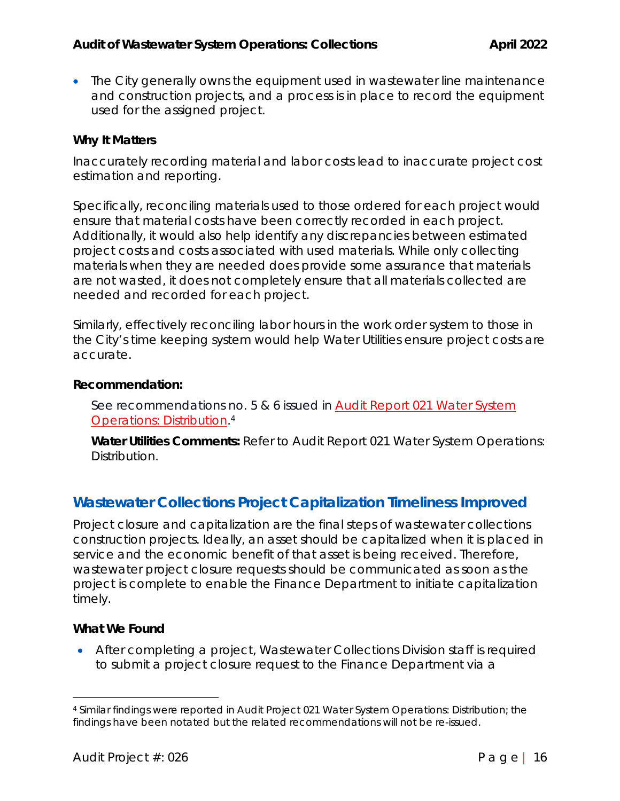• The City generally owns the equipment used in wastewater line maintenance and construction projects, and a process is in place to record the equipment used for the assigned project.

#### **Why It Matters**

Inaccurately recording material and labor costs lead to inaccurate project cost estimation and reporting.

Specifically, reconciling materials used to those ordered for each project would ensure that material costs have been correctly recorded in each project. Additionally, it would also help identify any discrepancies between estimated project costs and costs associated with used materials. While only collecting materials when they are needed does provide some assurance that materials are not wasted, it does not completely ensure that all materials collected are needed and recorded for each project.

Similarly, effectively reconciling labor hours in the work order system to those in the City's time keeping system would help Water Utilities ensure project costs are accurate.

#### **Recommendation:**

See recommendations no. 5 & 6 issued in Audit Report 021 Water System Operations: Distribution.4

*Water Utilities Comments:* Refer to Audit Report 021 Water System Operations: Distribution.

## **Wastewater Collections Project Capitalization Timeliness Improved**

Project closure and capitalization are the final steps of wastewater collections construction projects. Ideally, an asset should be capitalized when it is placed in service and the economic benefit of that asset is being received. Therefore, wastewater project closure requests should be communicated as soon as the project is complete to enable the Finance Department to initiate capitalization timely.

### **What We Found**

 After completing a project, Wastewater Collections Division staff is required to submit a project closure request to the Finance Department via a

<sup>4</sup> Similar findings were reported in Audit Project 021 Water System Operations: Distribution; the findings have been notated but the related recommendations will not be re-issued.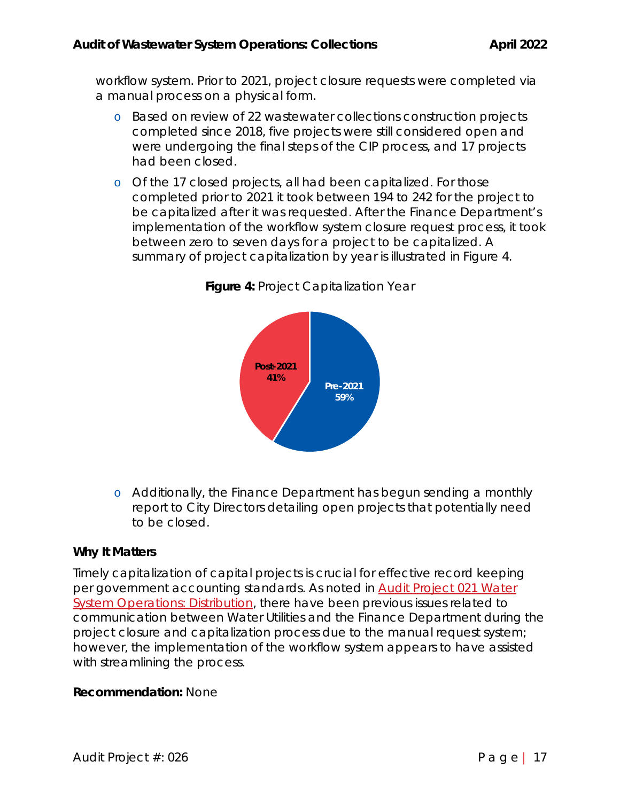workflow system. Prior to 2021, project closure requests were completed via a manual process on a physical form.

- o Based on review of 22 wastewater collections construction projects completed since 2018, five projects were still considered open and were undergoing the final steps of the CIP process, and 17 projects had been closed.
- o Of the 17 closed projects, all had been capitalized. For those completed prior to 2021 it took between 194 to 242 for the project to be capitalized after it was requested. After the Finance Department's implementation of the workflow system closure request process, it took between zero to seven days for a project to be capitalized. A summary of project capitalization by year is illustrated in Figure 4.



**Figure 4:** Project Capitalization Year

o Additionally, the Finance Department has begun sending a monthly report to City Directors detailing open projects that potentially need to be closed.

### **Why It Matters**

Timely capitalization of capital projects is crucial for effective record keeping per government accounting standards. As noted in **Audit Project 021 Water** System Operations: Distribution, there have been previous issues related to communication between Water Utilities and the Finance Department during the project closure and capitalization process due to the manual request system; however, the implementation of the workflow system appears to have assisted with streamlining the process.

### **Recommendation:** None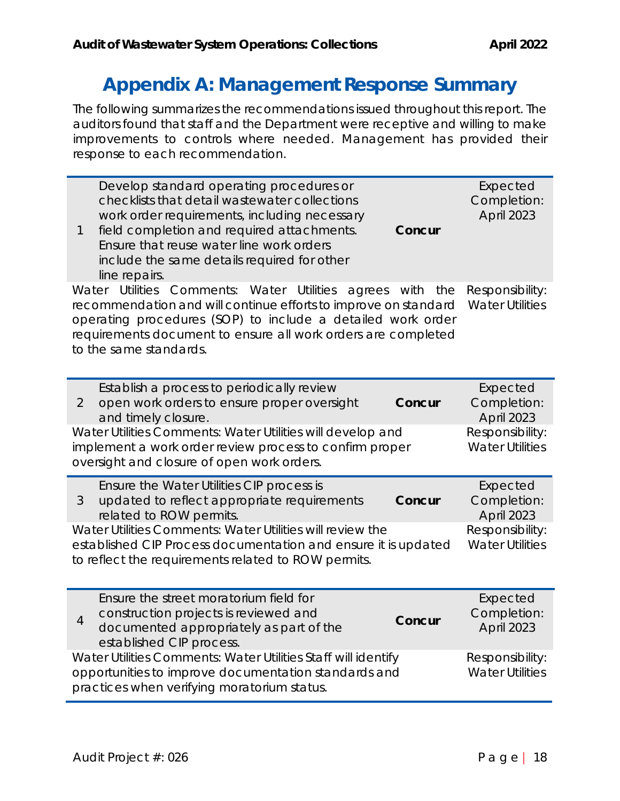## **Appendix A: Management Response Summary**

The following summarizes the recommendations issued throughout this report. The auditors found that staff and the Department were receptive and willing to make improvements to controls where needed. Management has provided their response to each recommendation.

| Develop standard operating procedures or<br>checklists that detail wastewater collections<br>work order requirements, including necessary<br>field completion and required attachments.<br>1<br>Concur<br>Ensure that reuse water line work orders<br>include the same details required for other<br>line repairs.            | Expected<br>Completion:<br>April 2023     |  |  |  |
|-------------------------------------------------------------------------------------------------------------------------------------------------------------------------------------------------------------------------------------------------------------------------------------------------------------------------------|-------------------------------------------|--|--|--|
| Water Utilities Comments: Water Utilities<br>agrees with the<br>Responsibility:<br>recommendation and will continue efforts to improve on standard  Water Utilities<br>operating procedures (SOP) to include a detailed work order<br>requirements document to ensure all work orders are completed<br>to the same standards. |                                           |  |  |  |
| Establish a process to periodically review<br>open work orders to ensure proper oversight<br>$\mathcal{P}$<br>Concur<br>and timely closure.                                                                                                                                                                                   | Expected<br>Completion:<br>April 2023     |  |  |  |
| Water Utilities Comments: Water Utilities will develop and<br>implement a work order review process to confirm proper<br>oversight and closure of open work orders.                                                                                                                                                           | Responsibility:<br><b>Water Utilities</b> |  |  |  |

| Ensure the Water Utilities CIP process is<br>updated to reflect appropriate requirements<br>3 | Concur          | Expected<br>Completion: |
|-----------------------------------------------------------------------------------------------|-----------------|-------------------------|
| related to ROW permits.                                                                       |                 | <b>April 2023</b>       |
| Water Utilities Comments: Water Utilities will review the                                     | Responsibility: |                         |
| established CIP Process documentation and ensure it is updated                                |                 | <b>Water Utilities</b>  |
| to reflect the requirements related to ROW permits.                                           |                 |                         |

| 4                                                                                                                                                                    | Ensure the street moratorium field for<br>construction projects is reviewed and<br>documented appropriately as part of the<br>established CIP process. | Concur                                    | Expected<br>Completion:<br><b>April 2023</b> |
|----------------------------------------------------------------------------------------------------------------------------------------------------------------------|--------------------------------------------------------------------------------------------------------------------------------------------------------|-------------------------------------------|----------------------------------------------|
| Water Utilities Comments: Water Utilities Staff will identify<br>opportunities to improve documentation standards and<br>practices when verifying moratorium status. |                                                                                                                                                        | Responsibility:<br><b>Water Utilities</b> |                                              |